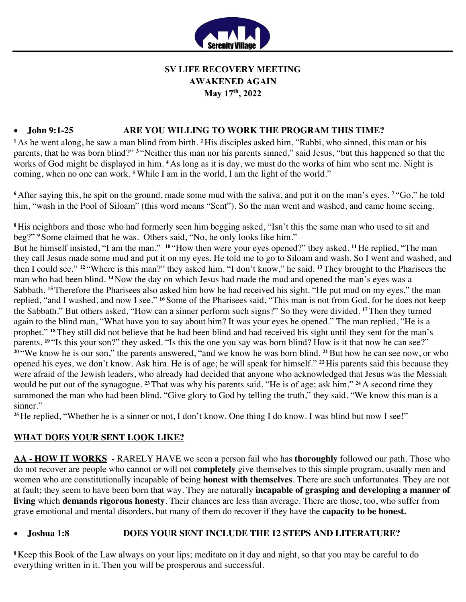

# **SV LIFE RECOVERY MEETING AWAKENED AGAIN May 17th, 2022**

# • **John 9:1-25 ARE YOU WILLING TO WORK THE PROGRAM THIS TIME?**

**<sup>1</sup>** As he went along, he saw a man blind from birth. **<sup>2</sup>** His disciples asked him, "Rabbi, who sinned, this man or his parents, that he was born blind?"<sup>3</sup> "Neither this man nor his parents sinned," said Jesus, "but this happened so that the works of God might be displayed in him. **<sup>4</sup>** As long as it is day, we must do the works of him who sent me. Night is coming, when no one can work. **<sup>5</sup>**While I am in the world, I am the light of the world."

**<sup>6</sup>** After saying this, he spit on the ground, made some mud with the saliva, and put it on the man's eyes. **<sup>7</sup>** "Go," he told him, "wash in the Pool of Siloam" (this word means "Sent"). So the man went and washed, and came home seeing.

**<sup>8</sup>** His neighbors and those who had formerly seen him begging asked, "Isn't this the same man who used to sit and beg?" **<sup>9</sup>** Some claimed that he was. Others said, "No, he only looks like him."

But he himself insisted, "I am the man." **<sup>10</sup>** "How then were your eyes opened?" they asked. **<sup>11</sup>** He replied, "The man they call Jesus made some mud and put it on my eyes. He told me to go to Siloam and wash. So I went and washed, and then I could see." **<sup>12</sup>** "Where is this man?" they asked him. "I don't know," he said. **<sup>13</sup>**They brought to the Pharisees the man who had been blind. **<sup>14</sup>** Now the day on which Jesus had made the mud and opened the man's eyes was a Sabbath. <sup>15</sup> Therefore the Pharisees also asked him how he had received his sight. "He put mud on my eyes," the man replied, "and I washed, and now I see." **<sup>16</sup>** Some of the Pharisees said, "This man is not from God, for he does not keep the Sabbath." But others asked, "How can a sinner perform such signs?" So they were divided. **<sup>17</sup>**Then they turned again to the blind man, "What have you to say about him? It was your eyes he opened." The man replied, "He is a prophet." <sup>18</sup>They still did not believe that he had been blind and had received his sight until they sent for the man's parents. <sup>19</sup> "Is this your son?" they asked. "Is this the one you say was born blind? How is it that now he can see?" **<sup>20</sup>** "We know he is our son," the parents answered, "and we know he was born blind. **<sup>21</sup>**But how he can see now, or who opened his eyes, we don't know. Ask him. He is of age; he will speak for himself." **<sup>22</sup>** His parents said this because they were afraid of the Jewish leaders, who already had decided that anyone who acknowledged that Jesus was the Messiah would be put out of the synagogue. **<sup>23</sup>**That was why his parents said, "He is of age; ask him." **<sup>24</sup>** A second time they summoned the man who had been blind. "Give glory to God by telling the truth," they said. "We know this man is a sinner."

<sup>25</sup> He replied, "Whether he is a sinner or not, I don't know. One thing I do know. I was blind but now I see!"

# **WHAT DOES YOUR SENT LOOK LIKE?**

**AA - HOW IT WORKS -** RARELY HAVE we seen a person fail who has **thoroughly** followed our path. Those who do not recover are people who cannot or will not **completely** give themselves to this simple program, usually men and women who are constitutionally incapable of being **honest with themselves**. There are such unfortunates. They are not at fault; they seem to have been born that way. They are naturally **incapable of grasping and developing a manner of living** which **demands rigorous honesty**. Their chances are less than average. There are those, too, who suffer from grave emotional and mental disorders, but many of them do recover if they have the **capacity to be honest.**

#### • **Joshua 1:8 DOES YOUR SENT INCLUDE THE 12 STEPS AND LITERATURE?**

**<sup>8</sup>** Keep this Book of the Law always on your lips; meditate on it day and night, so that you may be careful to do everything written in it. Then you will be prosperous and successful.